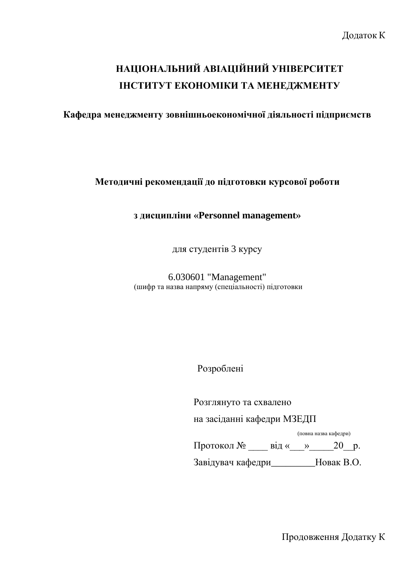# **НАЦІОНАЛЬНИЙ АВІАЦІЙНИЙ УНІВЕРСИТЕТ ІНСТИТУТ ЕКОНОМІКИ ТА МЕНЕДЖМЕНТУ**

**Кафедра менеджменту зовнішньоекономічної діяльності підприємств**

**Методичні рекомендації до підготовки курсової роботи**

### **з дисципліни «Personnel management»**

для студентів 3 курсу

6.030601 "Management" (шифр та назва напряму (спеціальності) підготовки

Розроблені

Розглянуто та схвалено

на засіданні кафедри МЗЕДП

(повна назва кафедри)

Протокол №  $\quad$  від « $\quad$ »  $\quad$  20 р.

Завідувач кафедри\_\_\_\_\_\_\_\_\_Новак В.О.

Продовження Додатку К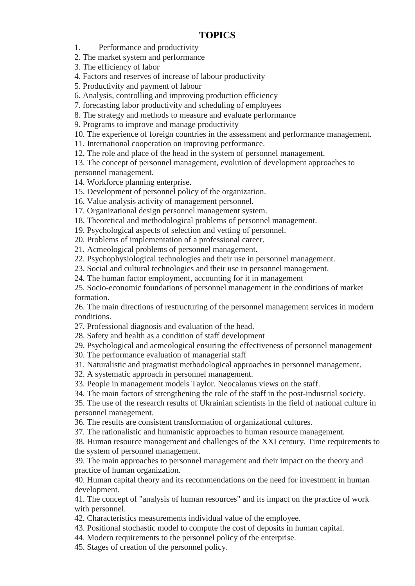#### **TOPICS**

1. Performance and productivity

2. The market system and performance

3. The efficiency of labor

4. Factors and reserves of increase of labour productivity

5. Productivity and payment of labour

6. Analysis, controlling and improving production efficiency

7. forecasting labor productivity and scheduling of employees

8. The strategy and methods to measure and evaluate performance

9. Programs to improve and manage productivity

10. The experience of foreign countries in the assessment and performance management.

11. International cooperation on improving performance.

12. The role and place of the head in the system of personnel management.

13. The concept of personnel management, evolution of development approaches to personnel management.

14. Workforce planning enterprise.

15. Development of personnel policy of the organization.

16. Value analysis activity of management personnel.

17. Organizational design personnel management system.

18. Theoretical and methodological problems of personnel management.

19. Psychological aspects of selection and vetting of personnel.

20. Problems of implementation of a professional career.

21. Acmeological problems of personnel management.

22. Psychophysiological technologies and their use in personnel management.

23. Social and cultural technologies and their use in personnel management.

24. The human factor employment, accounting for it in management

25. Socio-economic foundations of personnel management in the conditions of market formation.

26. The main directions of restructuring of the personnel management services in modern conditions.

27. Professional diagnosis and evaluation of the head.

28. Safety and health as a condition of staff development

29. Psychological and acmeological ensuring the effectiveness of personnel management

30. The performance evaluation of managerial staff

31. Naturalistic and pragmatist methodological approaches in personnel management.

32. A systematic approach in personnel management.

33. People in management models Taylor. Neocalanus views on the staff.

34. The main factors of strengthening the role of the staff in the post-industrial society.

35. The use of the research results of Ukrainian scientists in the field of national culture in personnel management.

36. The results are consistent transformation of organizational cultures.

37. The rationalistic and humanistic approaches to human resource management.

38. Human resource management and challenges of the XXI century. Time requirements to the system of personnel management.

39. The main approaches to personnel management and their impact on the theory and practice of human organization.

40. Human capital theory and its recommendations on the need for investment in human development.

41. The concept of "analysis of human resources" and its impact on the practice of work with personnel.

42. Characteristics measurements individual value of the employee.

43. Positional stochastic model to compute the cost of deposits in human capital.

44. Modern requirements to the personnel policy of the enterprise.

45. Stages of creation of the personnel policy.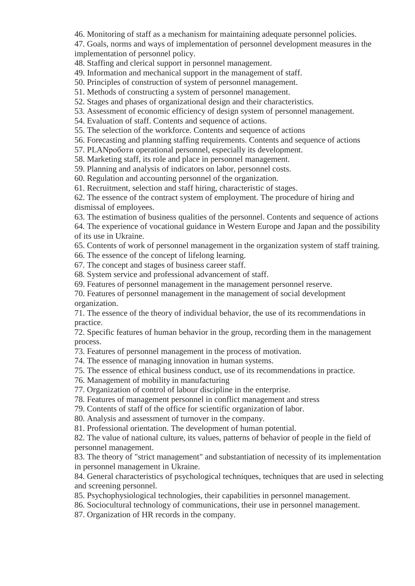46. Monitoring of staff as a mechanism for maintaining adequate personnel policies.

47. Goals, norms and ways of implementation of personnel development measures in the implementation of personnel policy.

48. Staffing and clerical support in personnel management.

49. Information and mechanical support in the management of staff.

50. Principles of construction of system of personnel management.

51. Methods of constructing a system of personnel management.

52. Stages and phases of organizational design and their characteristics.

53. Assessment of economic efficiency of design system of personnel management.

54. Evaluation of staff. Contents and sequence of actions.

55. The selection of the workforce. Contents and sequence of actions

56. Forecasting and planning staffing requirements. Contents and sequence of actions

57. PLANроботи operational personnel, especially its development.

58. Marketing staff, its role and place in personnel management.

59. Planning and analysis of indicators on labor, personnel costs.

60. Regulation and accounting personnel of the organization.

61. Recruitment, selection and staff hiring, characteristic of stages.

62. The essence of the contract system of employment. The procedure of hiring and dismissal of employees.

63. The estimation of business qualities of the personnel. Contents and sequence of actions

64. The experience of vocational guidance in Western Europe and Japan and the possibility of its use in Ukraine.

65. Contents of work of personnel management in the organization system of staff training.

66. The essence of the concept of lifelong learning.

67. The concept and stages of business career staff.

68. System service and professional advancement of staff.

69. Features of personnel management in the management personnel reserve.

70. Features of personnel management in the management of social development organization.

71. The essence of the theory of individual behavior, the use of its recommendations in practice.

72. Specific features of human behavior in the group, recording them in the management process.

73. Features of personnel management in the process of motivation.

74. The essence of managing innovation in human systems.

75. The essence of ethical business conduct, use of its recommendations in practice.

76. Management of mobility in manufacturing

77. Organization of control of labour discipline in the enterprise.

78. Features of management personnel in conflict management and stress

79. Contents of staff of the office for scientific organization of labor.

80. Analysis and assessment of turnover in the company.

81. Professional orientation. The development of human potential.

82. The value of national culture, its values, patterns of behavior of people in the field of personnel management.

83. The theory of "strict management" and substantiation of necessity of its implementation in personnel management in Ukraine.

84. General characteristics of psychological techniques, techniques that are used in selecting and screening personnel.

85. Psychophysiological technologies, their capabilities in personnel management.

86. Sociocultural technology of communications, their use in personnel management.

87. Organization of HR records in the company.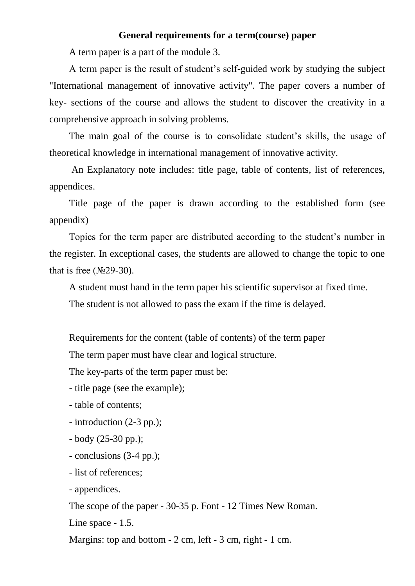#### **General requirements for a term(course) paper**

A term paper is a part of the module 3.

A term paper is the result of student's self-guided work by studying the subject "International management of innovative activity". The paper covers a number of key- sections of the course and allows the student to discover the creativity in a comprehensive approach in solving problems.

The main goal of the course is to consolidate student's skills, the usage of theoretical knowledge in international management of innovative activity.

An Explanatory note includes: title page, table of contents, list of references, appendices.

Title page of the paper is drawn according to the established form (see appendix)

Topics for the term paper are distributed according to the student's number in the register. In exceptional cases, the students are allowed to change the topic to one that is free  $(N<sub>2</sub>9-30)$ .

A student must hand in the term paper his scientific supervisor at fixed time.

The student is not allowed to pass the exam if the time is delayed.

Requirements for the content (table of contents) of the term paper

The term paper must have clear and logical structure.

The key-parts of the term paper must be:

- title page (see the example);

- table of contents;
- introduction (2-3 pp.);
- body (25-30 pp.);
- conclusions (3-4 pp.);
- list of references;
- appendices.

The scope of the paper - 30-35 p. Font - 12 Times New Roman.

Line space - 1.5.

Margins: top and bottom - 2 cm, left - 3 cm, right - 1 cm.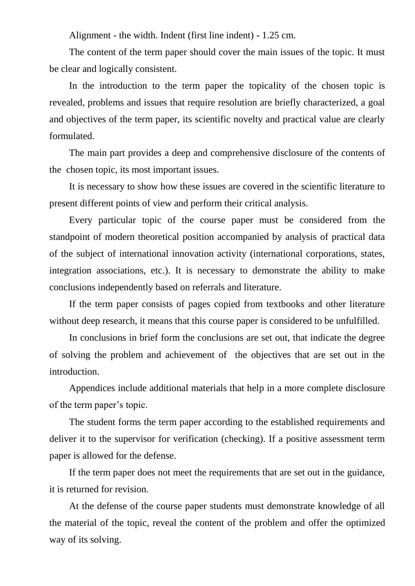Alignment - the width. Indent (first line indent) - 1.25 cm.

The content of the term paper should cover the main issues of the topic. It must be clear and logically consistent.

In the introduction to the term paper the topicality of the chosen topic is revealed, problems and issues that require resolution are briefly characterized, a goal and objectives of the term paper, its scientific novelty and practical value are clearly formulated.

The main part provides a deep and comprehensive disclosure of the contents of the chosen topic, its most important issues.

It is necessary to show how these issues are covered in the scientific literature to present different points of view and perform their critical analysis.

Every particular topic of the course paper must be considered from the standpoint of modern theoretical position accompanied by analysis of practical data of the subject of international innovation activity (international corporations, states, integration associations, etc.). It is necessary to demonstrate the ability to make conclusions independently based on referrals and literature.

If the term paper consists of pages copied from textbooks and other literature without deep research, it means that this course paper is considered to be unfulfilled.

In conclusions in brief form the conclusions are set out, that indicate the degree of solving the problem and achievement of the objectives that are set out in the introduction.

Appendices include additional materials that help in a more complete disclosure of the term paper's topic.

The student forms the term paper according to the established requirements and deliver it to the supervisor for verification (checking). If a positive assessment term paper is allowed for the defense.

If the term paper does not meet the requirements that are set out in the guidance, it is returned for revision.

At the defense of the course paper students must demonstrate knowledge of all the material of the topic, reveal the content of the problem and offer the optimized way of its solving.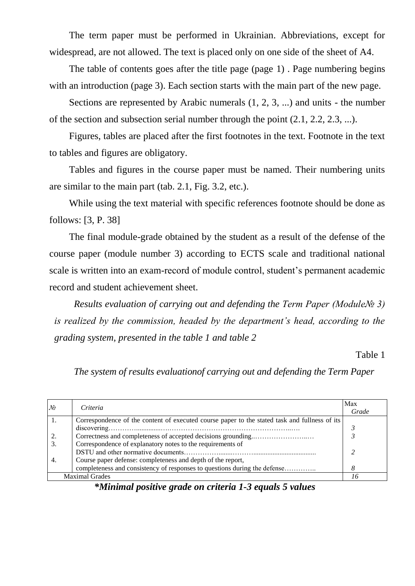The term paper must be performed in Ukrainian. Abbreviations, except for widespread, are not allowed. The text is placed only on one side of the sheet of A4.

The table of contents goes after the title page (page 1) . Page numbering begins with an introduction (page 3). Each section starts with the main part of the new page.

Sections are represented by Arabic numerals (1, 2, 3, ...) and units - the number of the section and subsection serial number through the point (2.1, 2.2, 2.3, ...).

Figures, tables are placed after the first footnotes in the text. Footnote in the text to tables and figures are obligatory.

Tables and figures in the course paper must be named. Their numbering units are similar to the main part (tab. 2.1, Fig. 3.2, etc.).

While using the text material with specific references footnote should be done as follows: [3, P. 38]

The final module-grade obtained by the student as a result of the defense of the course paper (module number 3) according to ECTS scale and traditional national scale is written into an exam-record of module control, student's permanent academic record and student achievement sheet.

*Results evaluation of carrying out and defending the Term Paper (Module№ 3) is realized by the commission, headed by the department's head, according to the grading system, presented in the table 1 and table 2*

Table 1

*The system of results evaluationof carrying out and defending the Term Paper*

| No                    | Criteria                                                                                      | Max<br>Grade |
|-----------------------|-----------------------------------------------------------------------------------------------|--------------|
|                       | Correspondence of the content of executed course paper to the stated task and fullness of its |              |
|                       |                                                                                               |              |
|                       |                                                                                               |              |
| 3.                    | Correspondence of explanatory notes to the requirements of                                    |              |
|                       |                                                                                               |              |
| 4.                    | Course paper defense: completeness and depth of the report,                                   |              |
|                       | completeness and consistency of responses to questions during the defense                     |              |
| <b>Maximal Grades</b> |                                                                                               |              |

*\*Minimal positive grade on criteria 1-3 equals 5 values*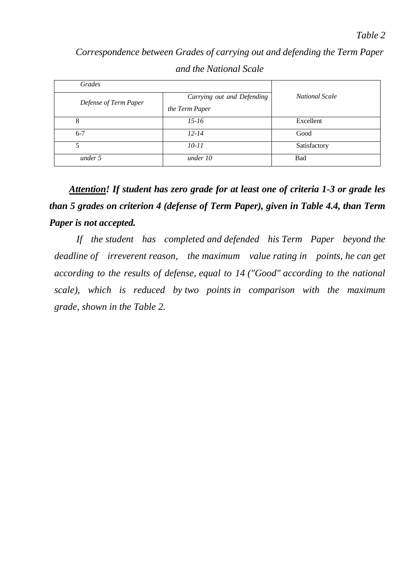*Correspondence between Grades of carrying out and defending the Term Paper and the National Scale*

| Grades                |                            |                       |
|-----------------------|----------------------------|-----------------------|
| Defense of Term Paper | Carrying out and Defending | <b>National Scale</b> |
|                       | the Term Paper             |                       |
| 8                     | $15 - 16$                  | Excellent             |
| $6 - 7$               | $12 - 14$                  | Good                  |
| 5                     | 10-11                      | Satisfactory          |
| under 5               | under 10                   | <b>Bad</b>            |

*Attention! If student has zero grade for at least one of criteria 1-3 or grade les than 5 grades on criterion 4 (defense of Term Paper), given in Table 4.4, than Term Paper is not accepted.*

*If the student has completed and defended his Term Paper beyond the deadline of irreverent reason, the maximum value rating in points, he can get according to the results of defense, equal to 14 ("Good" according to the national scale), which is reduced by two points in comparison with the maximum grade, shown in the Table 2.*